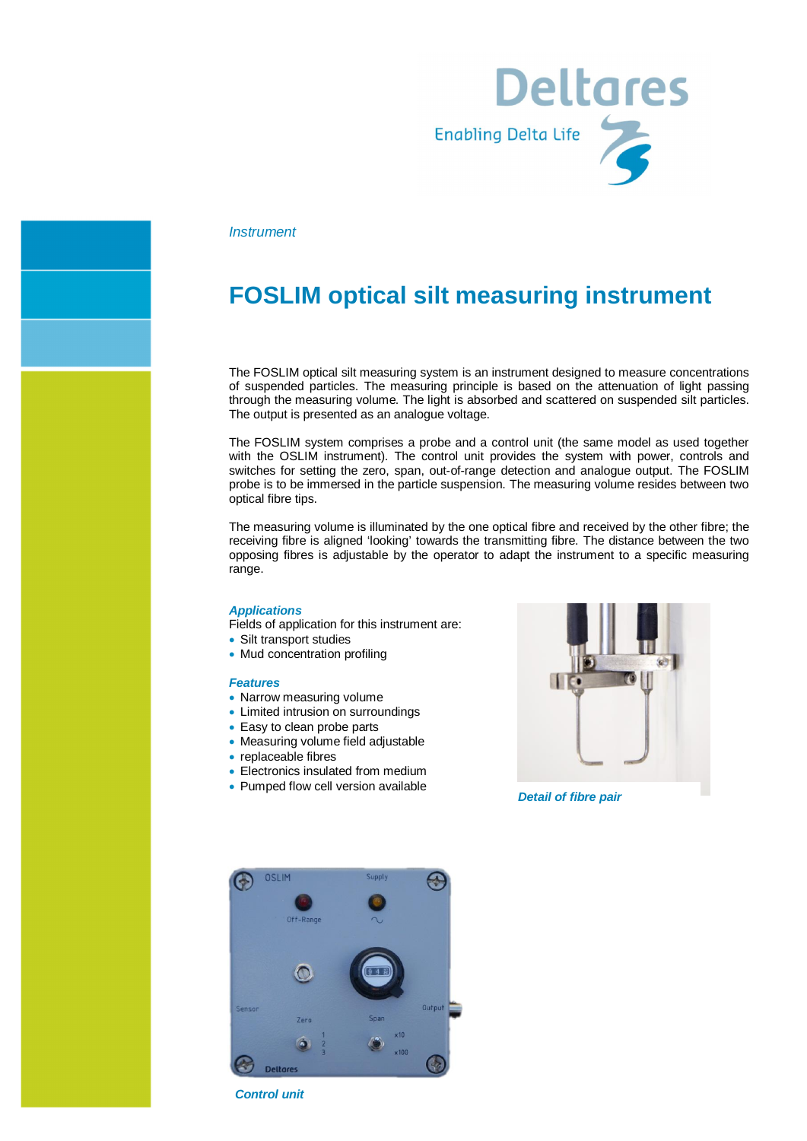

*Instrument*

# **FOSLIM optical silt measuring instrument**

The FOSLIM optical silt measuring system is an instrument designed to measure concentrations of suspended particles. The measuring principle is based on the attenuation of light passing through the measuring volume. The light is absorbed and scattered on suspended silt particles. The output is presented as an analogue voltage.

The FOSLIM system comprises a probe and a control unit (the same model as used together with the OSLIM instrument). The control unit provides the system with power, controls and switches for setting the zero, span, out-of-range detection and analogue output. The FOSLIM probe is to be immersed in the particle suspension. The measuring volume resides between two optical fibre tips.

The measuring volume is illuminated by the one optical fibre and received by the other fibre; the receiving fibre is aligned 'looking' towards the transmitting fibre. The distance between the two opposing fibres is adjustable by the operator to adapt the instrument to a specific measuring range.

#### *Applications*

Fields of application for this instrument are:

- Silt transport studies
- Mud concentration profiling

### *Features*

- Narrow measuring volume
- Limited intrusion on surroundings
- · Easy to clean probe parts
- · Measuring volume field adjustable
- · replaceable fibres
- · Electronics insulated from medium
- Pumped flow cell version available



*Detail of fibre pair*



*Control unit*